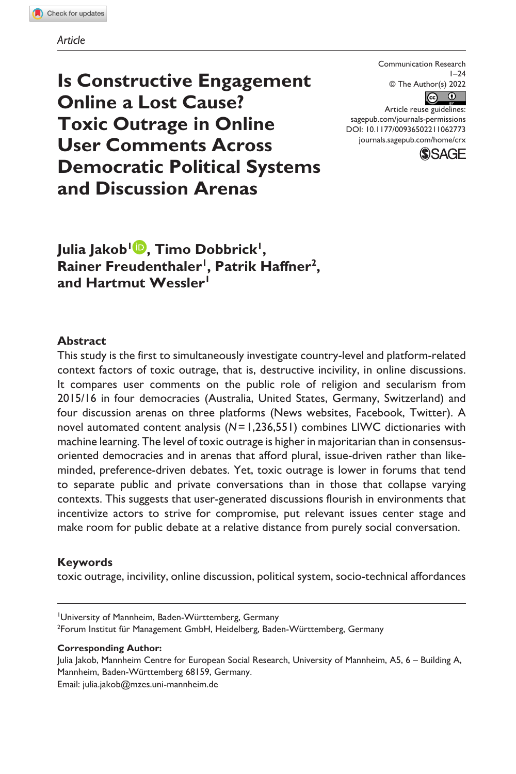#### *Article*

**Is Constructive Engagement Online a Lost Cause? Toxic Outrage in Online User Comments Across Democratic Political Systems and Discussion Arenas**

Communication Research  $1 - 24$ © The Author(s) 2022  $\circledcirc$ 

DOI: 10.1177/00936502211062773 Article reuse guidelines: [sagepub.com/journals-permissions](https://us.sagepub.com/en-us/journals-permissions) [journals.sagepub.com/home/crx](https://journals.sagepub.com/home/crx)



Julia Jakob<sup>1</sup><sup>.</sup>, Timo Dobbrick<sup>1</sup>, Rainer Freudenthaler<sup>1</sup>, Patrik Haffner<sup>2</sup>, **and Hartmut Wessler1**

### **Abstract**

This study is the first to simultaneously investigate country-level and platform-related context factors of toxic outrage, that is, destructive incivility, in online discussions. It compares user comments on the public role of religion and secularism from 2015/16 in four democracies (Australia, United States, Germany, Switzerland) and four discussion arenas on three platforms (News websites, Facebook, Twitter). A novel automated content analysis (*N*=1,236,551) combines LIWC dictionaries with machine learning. The level of toxic outrage is higher in majoritarian than in consensusoriented democracies and in arenas that afford plural, issue-driven rather than likeminded, preference-driven debates. Yet, toxic outrage is lower in forums that tend to separate public and private conversations than in those that collapse varying contexts. This suggests that user-generated discussions flourish in environments that incentivize actors to strive for compromise, put relevant issues center stage and make room for public debate at a relative distance from purely social conversation.

### **Keywords**

toxic outrage, incivility, online discussion, political system, socio-technical affordances

#### **Corresponding Author:**

Julia Jakob, Mannheim Centre for European Social Research, University of Mannheim, A5, 6 – Building A, Mannheim, Baden-Württemberg 68159, Germany. Email: [julia.jakob@mzes.uni-mannheim.de](mailto:julia.jakob@mzes.uni-mannheim.de)

<sup>1</sup> University of Mannheim, Baden-Württemberg, Germany <sup>2</sup>Forum Institut für Management GmbH, Heidelberg, Baden-Württemberg, Germany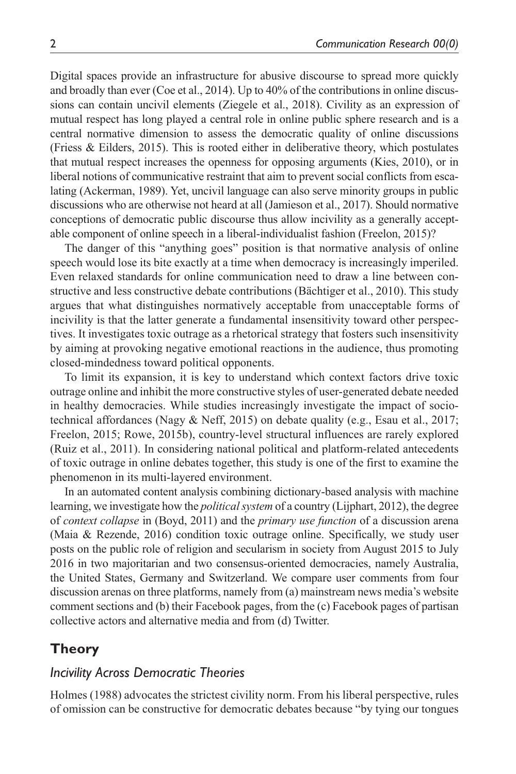Digital spaces provide an infrastructure for abusive discourse to spread more quickly and broadly than ever (Coe et al., 2014). Up to 40% of the contributions in online discussions can contain uncivil elements (Ziegele et al., 2018). Civility as an expression of mutual respect has long played a central role in online public sphere research and is a central normative dimension to assess the democratic quality of online discussions (Friess & Eilders, 2015). This is rooted either in deliberative theory, which postulates that mutual respect increases the openness for opposing arguments (Kies, 2010), or in liberal notions of communicative restraint that aim to prevent social conflicts from escalating (Ackerman, 1989). Yet, uncivil language can also serve minority groups in public discussions who are otherwise not heard at all (Jamieson et al., 2017). Should normative conceptions of democratic public discourse thus allow incivility as a generally acceptable component of online speech in a liberal-individualist fashion (Freelon, 2015)?

The danger of this "anything goes" position is that normative analysis of online speech would lose its bite exactly at a time when democracy is increasingly imperiled. Even relaxed standards for online communication need to draw a line between constructive and less constructive debate contributions (Bächtiger et al., 2010). This study argues that what distinguishes normatively acceptable from unacceptable forms of incivility is that the latter generate a fundamental insensitivity toward other perspectives. It investigates toxic outrage as a rhetorical strategy that fosters such insensitivity by aiming at provoking negative emotional reactions in the audience, thus promoting closed-mindedness toward political opponents.

To limit its expansion, it is key to understand which context factors drive toxic outrage online and inhibit the more constructive styles of user-generated debate needed in healthy democracies. While studies increasingly investigate the impact of sociotechnical affordances (Nagy & Neff, 2015) on debate quality (e.g., Esau et al., 2017; Freelon, 2015; Rowe, 2015b), country-level structural influences are rarely explored (Ruiz et al., 2011). In considering national political and platform-related antecedents of toxic outrage in online debates together, this study is one of the first to examine the phenomenon in its multi-layered environment.

In an automated content analysis combining dictionary-based analysis with machine learning, we investigate how the *political system* of a country (Lijphart, 2012), the degree of *context collapse* in (Boyd, 2011) and the *primary use function* of a discussion arena (Maia & Rezende, 2016) condition toxic outrage online. Specifically, we study user posts on the public role of religion and secularism in society from August 2015 to July 2016 in two majoritarian and two consensus-oriented democracies, namely Australia, the United States, Germany and Switzerland. We compare user comments from four discussion arenas on three platforms, namely from (a) mainstream news media's website comment sections and (b) their Facebook pages, from the (c) Facebook pages of partisan collective actors and alternative media and from (d) Twitter.

# **Theory**

## *Incivility Across Democratic Theories*

Holmes (1988) advocates the strictest civility norm. From his liberal perspective, rules of omission can be constructive for democratic debates because "by tying our tongues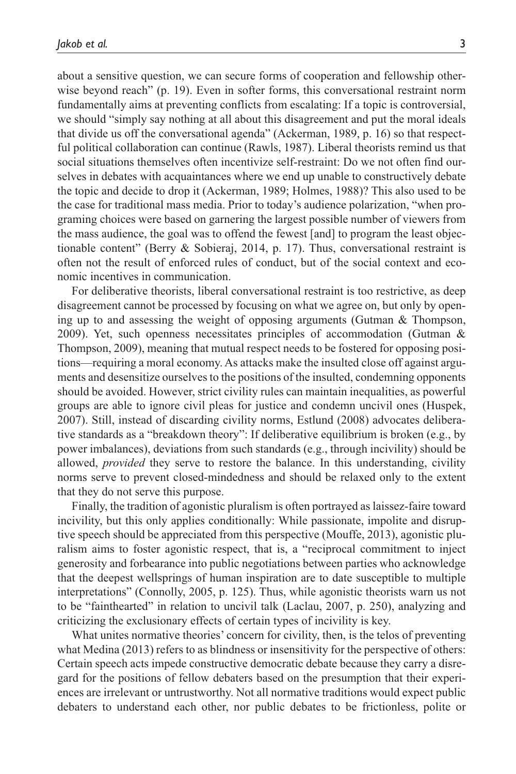about a sensitive question, we can secure forms of cooperation and fellowship otherwise beyond reach" (p. 19). Even in softer forms, this conversational restraint norm fundamentally aims at preventing conflicts from escalating: If a topic is controversial, we should "simply say nothing at all about this disagreement and put the moral ideals that divide us off the conversational agenda" (Ackerman, 1989, p. 16) so that respectful political collaboration can continue (Rawls, 1987). Liberal theorists remind us that social situations themselves often incentivize self-restraint: Do we not often find ourselves in debates with acquaintances where we end up unable to constructively debate the topic and decide to drop it (Ackerman, 1989; Holmes, 1988)? This also used to be the case for traditional mass media. Prior to today's audience polarization, "when programing choices were based on garnering the largest possible number of viewers from the mass audience, the goal was to offend the fewest [and] to program the least objectionable content" (Berry  $\&$  Sobieraj, 2014, p. 17). Thus, conversational restraint is often not the result of enforced rules of conduct, but of the social context and economic incentives in communication.

For deliberative theorists, liberal conversational restraint is too restrictive, as deep disagreement cannot be processed by focusing on what we agree on, but only by opening up to and assessing the weight of opposing arguments (Gutman & Thompson, 2009). Yet, such openness necessitates principles of accommodation (Gutman & Thompson, 2009), meaning that mutual respect needs to be fostered for opposing positions—requiring a moral economy. As attacks make the insulted close off against arguments and desensitize ourselves to the positions of the insulted, condemning opponents should be avoided. However, strict civility rules can maintain inequalities, as powerful groups are able to ignore civil pleas for justice and condemn uncivil ones (Huspek, 2007). Still, instead of discarding civility norms, Estlund (2008) advocates deliberative standards as a "breakdown theory": If deliberative equilibrium is broken (e.g., by power imbalances), deviations from such standards (e.g., through incivility) should be allowed, *provided* they serve to restore the balance. In this understanding, civility norms serve to prevent closed-mindedness and should be relaxed only to the extent that they do not serve this purpose.

Finally, the tradition of agonistic pluralism is often portrayed as laissez-faire toward incivility, but this only applies conditionally: While passionate, impolite and disruptive speech should be appreciated from this perspective (Mouffe, 2013), agonistic pluralism aims to foster agonistic respect, that is, a "reciprocal commitment to inject generosity and forbearance into public negotiations between parties who acknowledge that the deepest wellsprings of human inspiration are to date susceptible to multiple interpretations" (Connolly, 2005, p. 125). Thus, while agonistic theorists warn us not to be "fainthearted" in relation to uncivil talk (Laclau, 2007, p. 250), analyzing and criticizing the exclusionary effects of certain types of incivility is key.

What unites normative theories' concern for civility, then, is the telos of preventing what Medina (2013) refers to as blindness or insensitivity for the perspective of others: Certain speech acts impede constructive democratic debate because they carry a disregard for the positions of fellow debaters based on the presumption that their experiences are irrelevant or untrustworthy. Not all normative traditions would expect public debaters to understand each other, nor public debates to be frictionless, polite or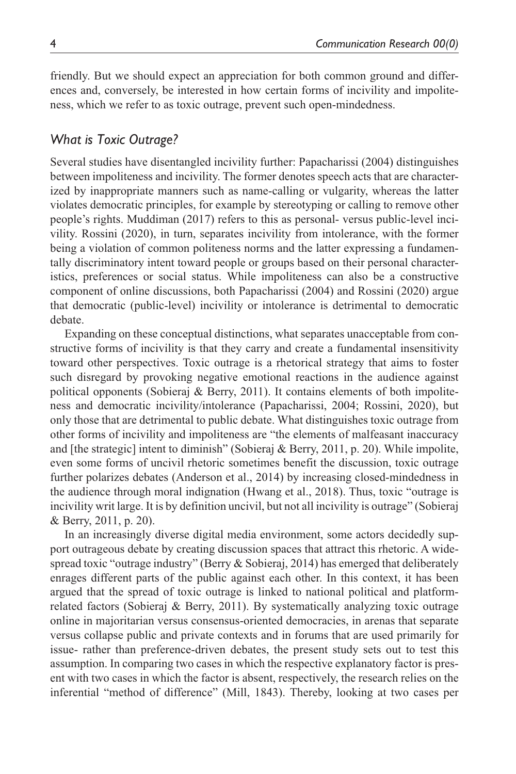friendly. But we should expect an appreciation for both common ground and differences and, conversely, be interested in how certain forms of incivility and impoliteness, which we refer to as toxic outrage, prevent such open-mindedness.

# *What is Toxic Outrage?*

Several studies have disentangled incivility further: Papacharissi (2004) distinguishes between impoliteness and incivility. The former denotes speech acts that are characterized by inappropriate manners such as name-calling or vulgarity, whereas the latter violates democratic principles, for example by stereotyping or calling to remove other people's rights. Muddiman (2017) refers to this as personal- versus public-level incivility. Rossini (2020), in turn, separates incivility from intolerance, with the former being a violation of common politeness norms and the latter expressing a fundamentally discriminatory intent toward people or groups based on their personal characteristics, preferences or social status. While impoliteness can also be a constructive component of online discussions, both Papacharissi (2004) and Rossini (2020) argue that democratic (public-level) incivility or intolerance is detrimental to democratic debate.

Expanding on these conceptual distinctions, what separates unacceptable from constructive forms of incivility is that they carry and create a fundamental insensitivity toward other perspectives. Toxic outrage is a rhetorical strategy that aims to foster such disregard by provoking negative emotional reactions in the audience against political opponents (Sobieraj & Berry, 2011). It contains elements of both impoliteness and democratic incivility/intolerance (Papacharissi, 2004; Rossini, 2020), but only those that are detrimental to public debate. What distinguishes toxic outrage from other forms of incivility and impoliteness are "the elements of malfeasant inaccuracy and [the strategic] intent to diminish" (Sobieraj & Berry, 2011, p. 20). While impolite, even some forms of uncivil rhetoric sometimes benefit the discussion, toxic outrage further polarizes debates (Anderson et al., 2014) by increasing closed-mindedness in the audience through moral indignation (Hwang et al., 2018). Thus, toxic "outrage is incivility writ large. It is by definition uncivil, but not all incivility is outrage" (Sobieraj & Berry, 2011, p. 20).

In an increasingly diverse digital media environment, some actors decidedly support outrageous debate by creating discussion spaces that attract this rhetoric. A widespread toxic "outrage industry" (Berry & Sobieraj, 2014) has emerged that deliberately enrages different parts of the public against each other. In this context, it has been argued that the spread of toxic outrage is linked to national political and platformrelated factors (Sobieraj & Berry, 2011). By systematically analyzing toxic outrage online in majoritarian versus consensus-oriented democracies, in arenas that separate versus collapse public and private contexts and in forums that are used primarily for issue- rather than preference-driven debates, the present study sets out to test this assumption. In comparing two cases in which the respective explanatory factor is present with two cases in which the factor is absent, respectively, the research relies on the inferential "method of difference" (Mill, 1843). Thereby, looking at two cases per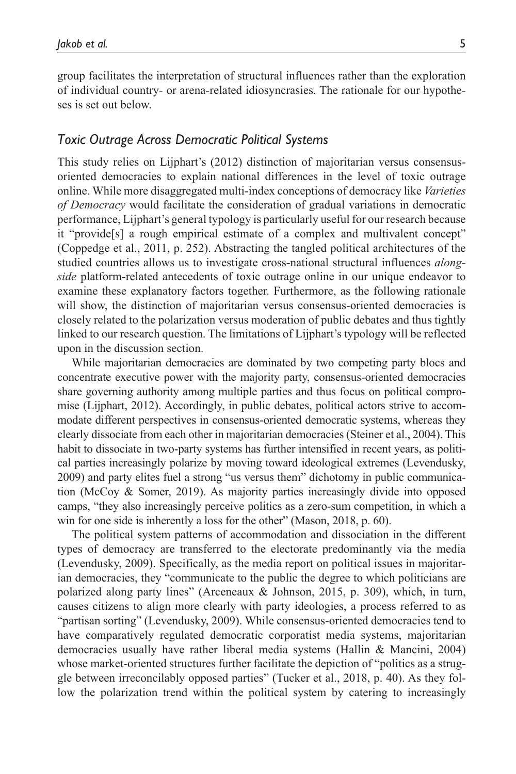group facilitates the interpretation of structural influences rather than the exploration of individual country- or arena-related idiosyncrasies. The rationale for our hypotheses is set out below.

## *Toxic Outrage Across Democratic Political Systems*

This study relies on Lijphart's (2012) distinction of majoritarian versus consensusoriented democracies to explain national differences in the level of toxic outrage online. While more disaggregated multi-index conceptions of democracy like *Varieties of Democracy* would facilitate the consideration of gradual variations in democratic performance, Lijphart's general typology is particularly useful for our research because it "provide[s] a rough empirical estimate of a complex and multivalent concept" (Coppedge et al., 2011, p. 252). Abstracting the tangled political architectures of the studied countries allows us to investigate cross-national structural influences *alongside* platform-related antecedents of toxic outrage online in our unique endeavor to examine these explanatory factors together. Furthermore, as the following rationale will show, the distinction of majoritarian versus consensus-oriented democracies is closely related to the polarization versus moderation of public debates and thus tightly linked to our research question. The limitations of Lijphart's typology will be reflected upon in the discussion section.

While majoritarian democracies are dominated by two competing party blocs and concentrate executive power with the majority party, consensus-oriented democracies share governing authority among multiple parties and thus focus on political compromise (Lijphart, 2012). Accordingly, in public debates, political actors strive to accommodate different perspectives in consensus-oriented democratic systems, whereas they clearly dissociate from each other in majoritarian democracies (Steiner et al., 2004). This habit to dissociate in two-party systems has further intensified in recent years, as political parties increasingly polarize by moving toward ideological extremes (Levendusky, 2009) and party elites fuel a strong "us versus them" dichotomy in public communication (McCoy & Somer, 2019). As majority parties increasingly divide into opposed camps, "they also increasingly perceive politics as a zero-sum competition, in which a win for one side is inherently a loss for the other" (Mason, 2018, p. 60).

The political system patterns of accommodation and dissociation in the different types of democracy are transferred to the electorate predominantly via the media (Levendusky, 2009). Specifically, as the media report on political issues in majoritarian democracies, they "communicate to the public the degree to which politicians are polarized along party lines" (Arceneaux & Johnson, 2015, p. 309), which, in turn, causes citizens to align more clearly with party ideologies, a process referred to as "partisan sorting" (Levendusky, 2009). While consensus-oriented democracies tend to have comparatively regulated democratic corporatist media systems, majoritarian democracies usually have rather liberal media systems (Hallin & Mancini, 2004) whose market-oriented structures further facilitate the depiction of "politics as a struggle between irreconcilably opposed parties" (Tucker et al., 2018, p. 40). As they follow the polarization trend within the political system by catering to increasingly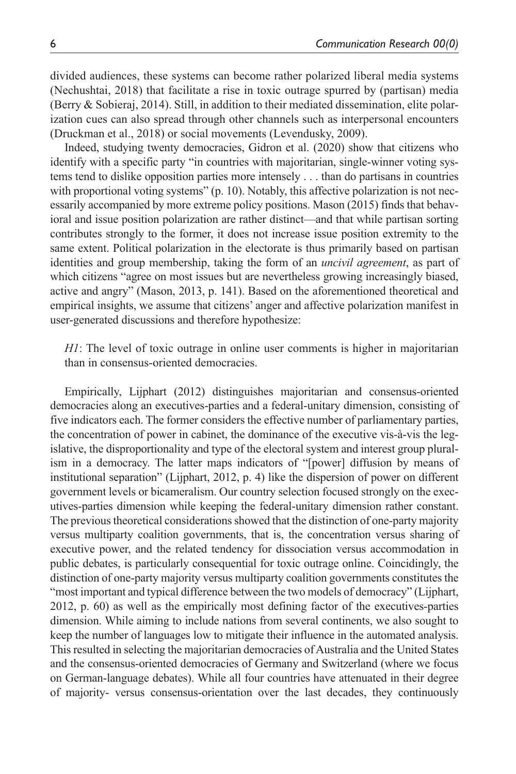divided audiences, these systems can become rather polarized liberal media systems (Nechushtai, 2018) that facilitate a rise in toxic outrage spurred by (partisan) media (Berry & Sobieraj, 2014). Still, in addition to their mediated dissemination, elite polarization cues can also spread through other channels such as interpersonal encounters (Druckman et al., 2018) or social movements (Levendusky, 2009).

Indeed, studying twenty democracies, Gidron et al. (2020) show that citizens who identify with a specific party "in countries with majoritarian, single-winner voting systems tend to dislike opposition parties more intensely . . . than do partisans in countries with proportional voting systems" (p. 10). Notably, this affective polarization is not necessarily accompanied by more extreme policy positions. Mason (2015) finds that behavioral and issue position polarization are rather distinct—and that while partisan sorting contributes strongly to the former, it does not increase issue position extremity to the same extent. Political polarization in the electorate is thus primarily based on partisan identities and group membership, taking the form of an *uncivil agreement*, as part of which citizens "agree on most issues but are nevertheless growing increasingly biased, active and angry" (Mason, 2013, p. 141). Based on the aforementioned theoretical and empirical insights, we assume that citizens' anger and affective polarization manifest in user-generated discussions and therefore hypothesize:

*H1*: The level of toxic outrage in online user comments is higher in majoritarian than in consensus-oriented democracies.

Empirically, Lijphart (2012) distinguishes majoritarian and consensus-oriented democracies along an executives-parties and a federal-unitary dimension, consisting of five indicators each. The former considers the effective number of parliamentary parties, the concentration of power in cabinet, the dominance of the executive vis-à-vis the legislative, the disproportionality and type of the electoral system and interest group pluralism in a democracy. The latter maps indicators of "[power] diffusion by means of institutional separation" (Lijphart, 2012, p. 4) like the dispersion of power on different government levels or bicameralism. Our country selection focused strongly on the executives-parties dimension while keeping the federal-unitary dimension rather constant. The previous theoretical considerations showed that the distinction of one-party majority versus multiparty coalition governments, that is, the concentration versus sharing of executive power, and the related tendency for dissociation versus accommodation in public debates, is particularly consequential for toxic outrage online. Coincidingly, the distinction of one-party majority versus multiparty coalition governments constitutes the "most important and typical difference between the two models of democracy" (Lijphart, 2012, p. 60) as well as the empirically most defining factor of the executives-parties dimension. While aiming to include nations from several continents, we also sought to keep the number of languages low to mitigate their influence in the automated analysis. This resulted in selecting the majoritarian democracies of Australia and the United States and the consensus-oriented democracies of Germany and Switzerland (where we focus on German-language debates). While all four countries have attenuated in their degree of majority- versus consensus-orientation over the last decades, they continuously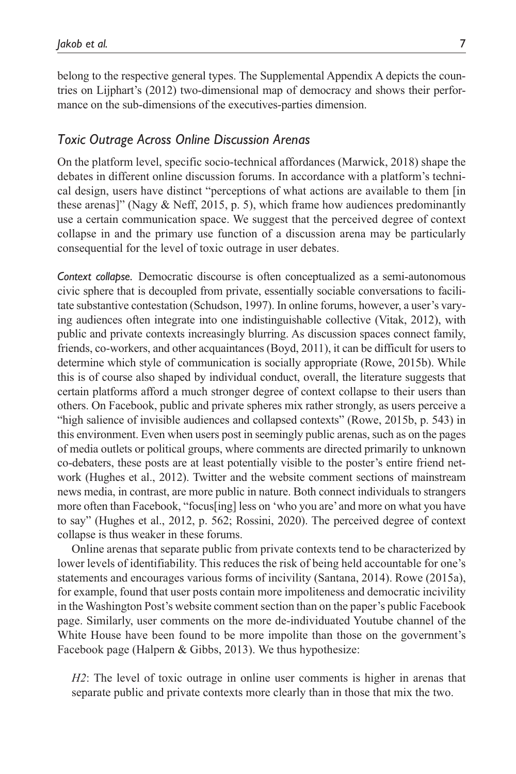belong to the respective general types. The Supplemental Appendix A depicts the countries on Lijphart's (2012) two-dimensional map of democracy and shows their performance on the sub-dimensions of the executives-parties dimension.

### *Toxic Outrage Across Online Discussion Arenas*

On the platform level, specific socio-technical affordances (Marwick, 2018) shape the debates in different online discussion forums. In accordance with a platform's technical design, users have distinct "perceptions of what actions are available to them [in these arenas]" (Nagy & Neff, 2015, p. 5), which frame how audiences predominantly use a certain communication space. We suggest that the perceived degree of context collapse in and the primary use function of a discussion arena may be particularly consequential for the level of toxic outrage in user debates.

*Context collapse.* Democratic discourse is often conceptualized as a semi-autonomous civic sphere that is decoupled from private, essentially sociable conversations to facilitate substantive contestation (Schudson, 1997). In online forums, however, a user's varying audiences often integrate into one indistinguishable collective (Vitak, 2012), with public and private contexts increasingly blurring. As discussion spaces connect family, friends, co-workers, and other acquaintances (Boyd, 2011), it can be difficult for users to determine which style of communication is socially appropriate (Rowe, 2015b). While this is of course also shaped by individual conduct, overall, the literature suggests that certain platforms afford a much stronger degree of context collapse to their users than others. On Facebook, public and private spheres mix rather strongly, as users perceive a "high salience of invisible audiences and collapsed contexts" (Rowe, 2015b, p. 543) in this environment. Even when users post in seemingly public arenas, such as on the pages of media outlets or political groups, where comments are directed primarily to unknown co-debaters, these posts are at least potentially visible to the poster's entire friend network (Hughes et al., 2012). Twitter and the website comment sections of mainstream news media, in contrast, are more public in nature. Both connect individuals to strangers more often than Facebook, "focus[ing] less on 'who you are' and more on what you have to say" (Hughes et al., 2012, p. 562; Rossini, 2020). The perceived degree of context collapse is thus weaker in these forums.

Online arenas that separate public from private contexts tend to be characterized by lower levels of identifiability. This reduces the risk of being held accountable for one's statements and encourages various forms of incivility (Santana, 2014). Rowe (2015a), for example, found that user posts contain more impoliteness and democratic incivility in the Washington Post's website comment section than on the paper's public Facebook page. Similarly, user comments on the more de-individuated Youtube channel of the White House have been found to be more impolite than those on the government's Facebook page (Halpern & Gibbs, 2013). We thus hypothesize:

*H2*: The level of toxic outrage in online user comments is higher in arenas that separate public and private contexts more clearly than in those that mix the two.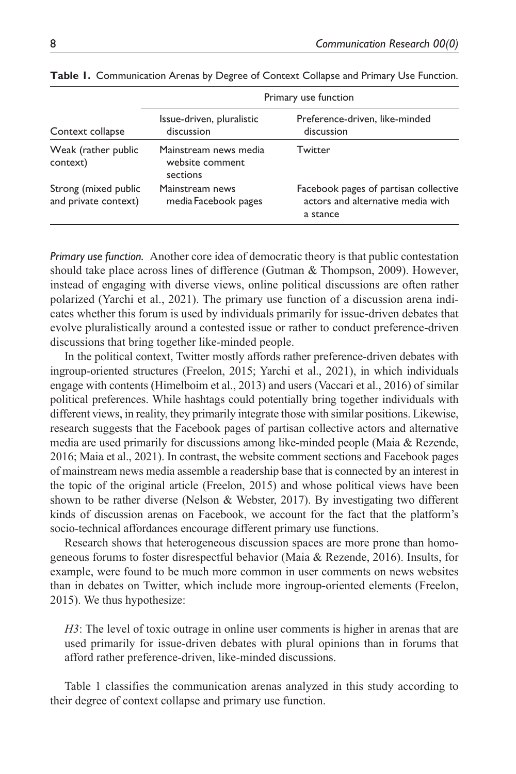| Context collapse<br>Weak (rather public<br>context) | Primary use function                                 |                                                                                        |  |  |  |  |
|-----------------------------------------------------|------------------------------------------------------|----------------------------------------------------------------------------------------|--|--|--|--|
|                                                     | Issue-driven, pluralistic<br>discussion              | Preference-driven, like-minded<br>discussion                                           |  |  |  |  |
|                                                     | Mainstream news media<br>website comment<br>sections | Twitter                                                                                |  |  |  |  |
| Strong (mixed public<br>and private context)        | Mainstream news<br>media Facebook pages              | Facebook pages of partisan collective<br>actors and alternative media with<br>a stance |  |  |  |  |

**Table 1.** Communication Arenas by Degree of Context Collapse and Primary Use Function.

*Primary use function.* Another core idea of democratic theory is that public contestation should take place across lines of difference (Gutman & Thompson, 2009). However, instead of engaging with diverse views, online political discussions are often rather polarized (Yarchi et al., 2021). The primary use function of a discussion arena indicates whether this forum is used by individuals primarily for issue-driven debates that evolve pluralistically around a contested issue or rather to conduct preference-driven discussions that bring together like-minded people.

In the political context, Twitter mostly affords rather preference-driven debates with ingroup-oriented structures (Freelon, 2015; Yarchi et al., 2021), in which individuals engage with contents (Himelboim et al., 2013) and users (Vaccari et al., 2016) of similar political preferences. While hashtags could potentially bring together individuals with different views, in reality, they primarily integrate those with similar positions. Likewise, research suggests that the Facebook pages of partisan collective actors and alternative media are used primarily for discussions among like-minded people (Maia & Rezende, 2016; Maia et al., 2021). In contrast, the website comment sections and Facebook pages of mainstream news media assemble a readership base that is connected by an interest in the topic of the original article (Freelon, 2015) and whose political views have been shown to be rather diverse (Nelson & Webster, 2017). By investigating two different kinds of discussion arenas on Facebook, we account for the fact that the platform's socio-technical affordances encourage different primary use functions.

Research shows that heterogeneous discussion spaces are more prone than homogeneous forums to foster disrespectful behavior (Maia & Rezende, 2016). Insults, for example, were found to be much more common in user comments on news websites than in debates on Twitter, which include more ingroup-oriented elements (Freelon, 2015). We thus hypothesize:

*H3*: The level of toxic outrage in online user comments is higher in arenas that are used primarily for issue-driven debates with plural opinions than in forums that afford rather preference-driven, like-minded discussions.

Table 1 classifies the communication arenas analyzed in this study according to their degree of context collapse and primary use function.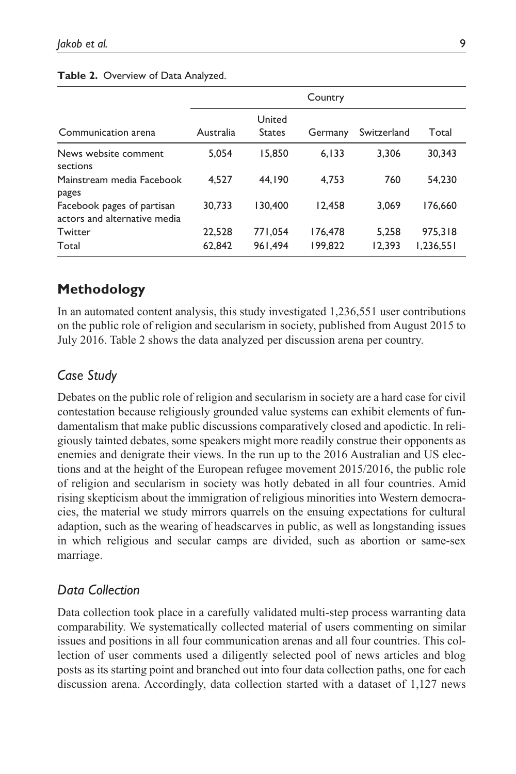### **Table 2.** Overview of Data Analyzed.

|                                                            | Country          |                         |                    |                 |                      |  |  |  |
|------------------------------------------------------------|------------------|-------------------------|--------------------|-----------------|----------------------|--|--|--|
| Communication arena                                        | Australia        | United<br><b>States</b> | Germany            | Switzerland     | Total                |  |  |  |
| News website comment.<br>sections                          | 5.054            | 15.850                  | 6.133              | 3.306           | 30.343               |  |  |  |
| Mainstream media Facebook<br>pages                         | 4.527            | 44.190                  | 4.753              | 760             | 54.230               |  |  |  |
| Facebook pages of partisan<br>actors and alternative media | 30.733           | 30,400                  | 12.458             | 3.069           | 176.660              |  |  |  |
| Twitter<br>Total                                           | 22,528<br>62.842 | 771.054<br>961.494      | 176,478<br>199.822 | 5.258<br>12.393 | 975,318<br>1,236,551 |  |  |  |
|                                                            |                  |                         |                    |                 |                      |  |  |  |

# **Methodology**

In an automated content analysis, this study investigated 1,236,551 user contributions on the public role of religion and secularism in society, published from August 2015 to July 2016. Table 2 shows the data analyzed per discussion arena per country.

# *Case Study*

Debates on the public role of religion and secularism in society are a hard case for civil contestation because religiously grounded value systems can exhibit elements of fundamentalism that make public discussions comparatively closed and apodictic. In religiously tainted debates, some speakers might more readily construe their opponents as enemies and denigrate their views. In the run up to the 2016 Australian and US elections and at the height of the European refugee movement 2015/2016, the public role of religion and secularism in society was hotly debated in all four countries. Amid rising skepticism about the immigration of religious minorities into Western democracies, the material we study mirrors quarrels on the ensuing expectations for cultural adaption, such as the wearing of headscarves in public, as well as longstanding issues in which religious and secular camps are divided, such as abortion or same-sex marriage.

# *Data Collection*

Data collection took place in a carefully validated multi-step process warranting data comparability. We systematically collected material of users commenting on similar issues and positions in all four communication arenas and all four countries. This collection of user comments used a diligently selected pool of news articles and blog posts as its starting point and branched out into four data collection paths, one for each discussion arena. Accordingly, data collection started with a dataset of 1,127 news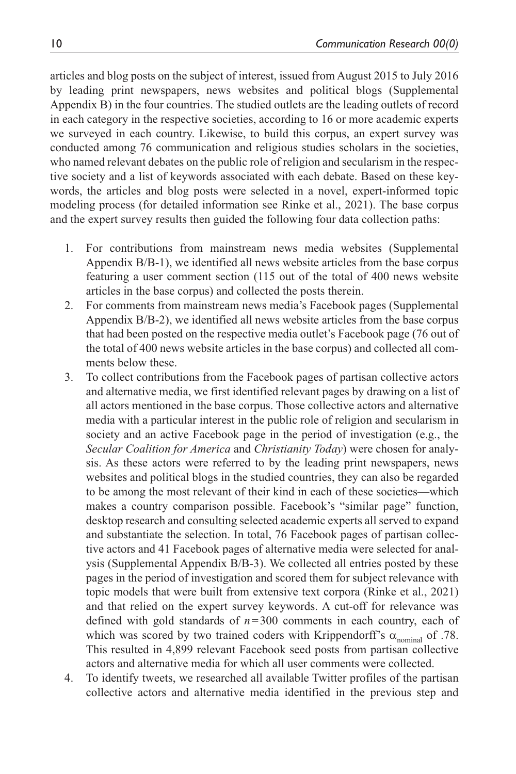articles and blog posts on the subject of interest, issued from August 2015 to July 2016 by leading print newspapers, news websites and political blogs (Supplemental Appendix B) in the four countries. The studied outlets are the leading outlets of record in each category in the respective societies, according to 16 or more academic experts we surveyed in each country. Likewise, to build this corpus, an expert survey was conducted among 76 communication and religious studies scholars in the societies, who named relevant debates on the public role of religion and secularism in the respective society and a list of keywords associated with each debate. Based on these keywords, the articles and blog posts were selected in a novel, expert-informed topic modeling process (for detailed information see Rinke et al., 2021). The base corpus and the expert survey results then guided the following four data collection paths:

- 1. For contributions from mainstream news media websites (Supplemental Appendix B/B-1), we identified all news website articles from the base corpus featuring a user comment section (115 out of the total of 400 news website articles in the base corpus) and collected the posts therein.
- 2. For comments from mainstream news media's Facebook pages (Supplemental Appendix B/B-2), we identified all news website articles from the base corpus that had been posted on the respective media outlet's Facebook page (76 out of the total of 400 news website articles in the base corpus) and collected all comments below these.
- 3. To collect contributions from the Facebook pages of partisan collective actors and alternative media, we first identified relevant pages by drawing on a list of all actors mentioned in the base corpus. Those collective actors and alternative media with a particular interest in the public role of religion and secularism in society and an active Facebook page in the period of investigation (e.g., the *Secular Coalition for America* and *Christianity Today*) were chosen for analysis. As these actors were referred to by the leading print newspapers, news websites and political blogs in the studied countries, they can also be regarded to be among the most relevant of their kind in each of these societies—which makes a country comparison possible. Facebook's "similar page" function, desktop research and consulting selected academic experts all served to expand and substantiate the selection. In total, 76 Facebook pages of partisan collective actors and 41 Facebook pages of alternative media were selected for analysis (Supplemental Appendix B/B-3). We collected all entries posted by these pages in the period of investigation and scored them for subject relevance with topic models that were built from extensive text corpora (Rinke et al., 2021) and that relied on the expert survey keywords. A cut-off for relevance was defined with gold standards of *n*=300 comments in each country, each of which was scored by two trained coders with Krippendorff's  $\alpha_{\text{nominal}}$  of .78. This resulted in 4,899 relevant Facebook seed posts from partisan collective actors and alternative media for which all user comments were collected.
- 4. To identify tweets, we researched all available Twitter profiles of the partisan collective actors and alternative media identified in the previous step and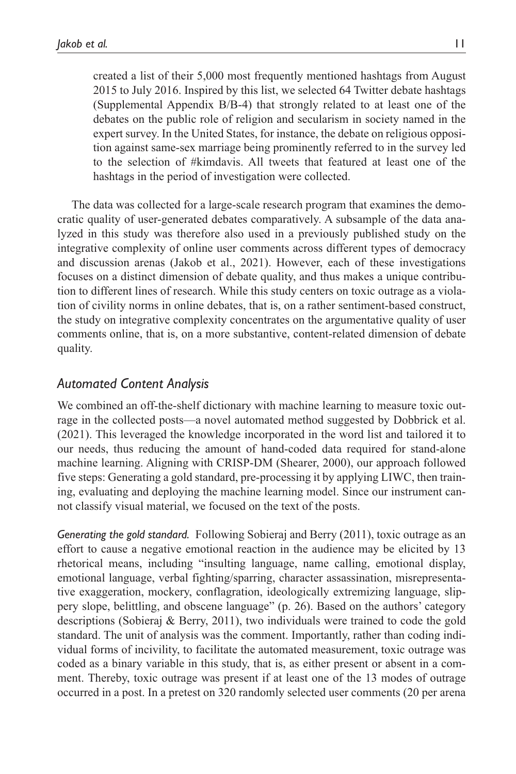created a list of their 5,000 most frequently mentioned hashtags from August 2015 to July 2016. Inspired by this list, we selected 64 Twitter debate hashtags (Supplemental Appendix B/B-4) that strongly related to at least one of the debates on the public role of religion and secularism in society named in the expert survey. In the United States, for instance, the debate on religious opposition against same-sex marriage being prominently referred to in the survey led to the selection of #kimdavis. All tweets that featured at least one of the hashtags in the period of investigation were collected.

The data was collected for a large-scale research program that examines the democratic quality of user-generated debates comparatively. A subsample of the data analyzed in this study was therefore also used in a previously published study on the integrative complexity of online user comments across different types of democracy and discussion arenas (Jakob et al., 2021). However, each of these investigations focuses on a distinct dimension of debate quality, and thus makes a unique contribution to different lines of research. While this study centers on toxic outrage as a violation of civility norms in online debates, that is, on a rather sentiment-based construct, the study on integrative complexity concentrates on the argumentative quality of user comments online, that is, on a more substantive, content-related dimension of debate quality.

# *Automated Content Analysis*

We combined an off-the-shelf dictionary with machine learning to measure toxic outrage in the collected posts—a novel automated method suggested by Dobbrick et al. (2021). This leveraged the knowledge incorporated in the word list and tailored it to our needs, thus reducing the amount of hand-coded data required for stand-alone machine learning. Aligning with CRISP-DM (Shearer, 2000), our approach followed five steps: Generating a gold standard, pre-processing it by applying LIWC, then training, evaluating and deploying the machine learning model. Since our instrument cannot classify visual material, we focused on the text of the posts.

*Generating the gold standard.* Following Sobieraj and Berry (2011), toxic outrage as an effort to cause a negative emotional reaction in the audience may be elicited by 13 rhetorical means, including "insulting language, name calling, emotional display, emotional language, verbal fighting/sparring, character assassination, misrepresentative exaggeration, mockery, conflagration, ideologically extremizing language, slippery slope, belittling, and obscene language" (p. 26). Based on the authors' category descriptions (Sobieraj & Berry, 2011), two individuals were trained to code the gold standard. The unit of analysis was the comment. Importantly, rather than coding individual forms of incivility, to facilitate the automated measurement, toxic outrage was coded as a binary variable in this study, that is, as either present or absent in a comment. Thereby, toxic outrage was present if at least one of the 13 modes of outrage occurred in a post. In a pretest on 320 randomly selected user comments (20 per arena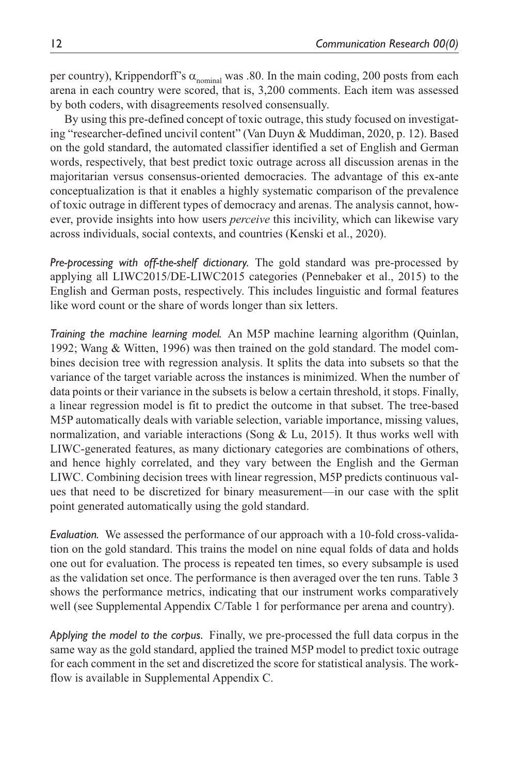per country), Krippendorff's  $\alpha_{nominal}$  was .80. In the main coding, 200 posts from each arena in each country were scored, that is, 3,200 comments. Each item was assessed by both coders, with disagreements resolved consensually.

By using this pre-defined concept of toxic outrage, this study focused on investigating "researcher-defined uncivil content" (Van Duyn & Muddiman, 2020, p. 12). Based on the gold standard, the automated classifier identified a set of English and German words, respectively, that best predict toxic outrage across all discussion arenas in the majoritarian versus consensus-oriented democracies. The advantage of this ex-ante conceptualization is that it enables a highly systematic comparison of the prevalence of toxic outrage in different types of democracy and arenas. The analysis cannot, however, provide insights into how users *perceive* this incivility, which can likewise vary across individuals, social contexts, and countries (Kenski et al., 2020).

*Pre-processing with off-the-shelf dictionary.* The gold standard was pre-processed by applying all LIWC2015/DE-LIWC2015 categories (Pennebaker et al., 2015) to the English and German posts, respectively. This includes linguistic and formal features like word count or the share of words longer than six letters.

*Training the machine learning model.* An M5P machine learning algorithm (Quinlan, 1992; Wang & Witten, 1996) was then trained on the gold standard. The model combines decision tree with regression analysis. It splits the data into subsets so that the variance of the target variable across the instances is minimized. When the number of data points or their variance in the subsets is below a certain threshold, it stops. Finally, a linear regression model is fit to predict the outcome in that subset. The tree-based M5P automatically deals with variable selection, variable importance, missing values, normalization, and variable interactions (Song  $&$  Lu, 2015). It thus works well with LIWC-generated features, as many dictionary categories are combinations of others, and hence highly correlated, and they vary between the English and the German LIWC. Combining decision trees with linear regression, M5P predicts continuous values that need to be discretized for binary measurement—in our case with the split point generated automatically using the gold standard.

*Evaluation.* We assessed the performance of our approach with a 10-fold cross-validation on the gold standard. This trains the model on nine equal folds of data and holds one out for evaluation. The process is repeated ten times, so every subsample is used as the validation set once. The performance is then averaged over the ten runs. Table 3 shows the performance metrics, indicating that our instrument works comparatively well (see Supplemental Appendix C/Table 1 for performance per arena and country).

*Applying the model to the corpus.* Finally, we pre-processed the full data corpus in the same way as the gold standard, applied the trained M5P model to predict toxic outrage for each comment in the set and discretized the score for statistical analysis. The workflow is available in Supplemental Appendix C.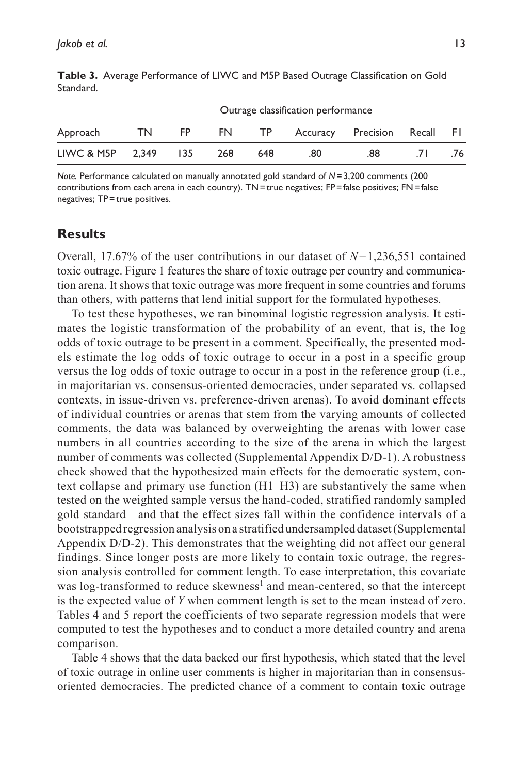|                  |    | Outrage classification performance |     |     |     |                              |  |     |  |
|------------------|----|------------------------------------|-----|-----|-----|------------------------------|--|-----|--|
| Approach         | TN | FP.                                | FN. | TP  |     | Accuracy Precision Recall FI |  |     |  |
| LIWC & M5P 2.349 |    | 135                                | 268 | 648 | .80 | .88                          |  | 76. |  |

**Table 3.** Average Performance of LIWC and M5P Based Outrage Classification on Gold Standard.

*Note.* Performance calculated on manually annotated gold standard of *N*=3,200 comments (200 contributions from each arena in each country). TN=true negatives; FP=false positives; FN=false negatives; TP=true positives.

## **Results**

Overall, 17.67% of the user contributions in our dataset of *N*=1,236,551 contained toxic outrage. Figure 1 features the share of toxic outrage per country and communication arena. It shows that toxic outrage was more frequent in some countries and forums than others, with patterns that lend initial support for the formulated hypotheses.

To test these hypotheses, we ran binominal logistic regression analysis. It estimates the logistic transformation of the probability of an event, that is, the log odds of toxic outrage to be present in a comment. Specifically, the presented models estimate the log odds of toxic outrage to occur in a post in a specific group versus the log odds of toxic outrage to occur in a post in the reference group (i.e., in majoritarian vs. consensus-oriented democracies, under separated vs. collapsed contexts, in issue-driven vs. preference-driven arenas). To avoid dominant effects of individual countries or arenas that stem from the varying amounts of collected comments, the data was balanced by overweighting the arenas with lower case numbers in all countries according to the size of the arena in which the largest number of comments was collected (Supplemental Appendix D/D-1). A robustness check showed that the hypothesized main effects for the democratic system, context collapse and primary use function (H1–H3) are substantively the same when tested on the weighted sample versus the hand-coded, stratified randomly sampled gold standard—and that the effect sizes fall within the confidence intervals of a bootstrapped regression analysis on a stratified undersampled dataset (Supplemental Appendix D/D-2). This demonstrates that the weighting did not affect our general findings. Since longer posts are more likely to contain toxic outrage, the regression analysis controlled for comment length. To ease interpretation, this covariate was log-transformed to reduce skewness<sup>1</sup> and mean-centered, so that the intercept is the expected value of *Y* when comment length is set to the mean instead of zero. Tables 4 and 5 report the coefficients of two separate regression models that were computed to test the hypotheses and to conduct a more detailed country and arena comparison.

Table 4 shows that the data backed our first hypothesis, which stated that the level of toxic outrage in online user comments is higher in majoritarian than in consensusoriented democracies. The predicted chance of a comment to contain toxic outrage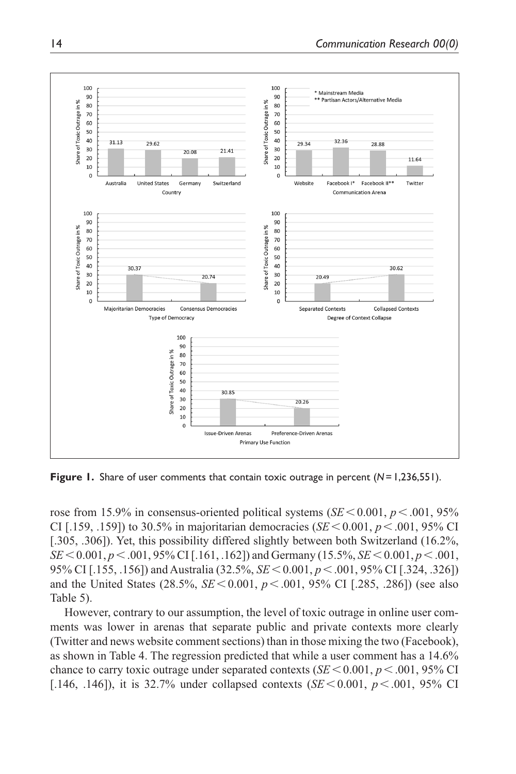

**Figure 1.** Share of user comments that contain toxic outrage in percent (*N*=1,236,551).

rose from 15.9% in consensus-oriented political systems ( $SE$ <0.001,  $p$  <.001, 95% CI [.159, .159]) to 30.5% in majoritarian democracies (*SE* < 0.001,  $p$  < .001, 95% CI [.305, .306]). Yet, this possibility differed slightly between both Switzerland (16.2%, *SE*<0.001, *p*<.001, 95% CI [.161, .162]) and Germany (15.5%, *SE*<0.001, *p*<.001, 95% CI [.155, .156]) and Australia (32.5%, *SE*<0.001, *p*<.001, 95% CI [.324, .326]) and the United States (28.5%, *SE*<0.001, *p*<.001, 95% CI [.285, .286]) (see also Table 5).

However, contrary to our assumption, the level of toxic outrage in online user comments was lower in arenas that separate public and private contexts more clearly (Twitter and news website comment sections) than in those mixing the two (Facebook), as shown in Table 4. The regression predicted that while a user comment has a 14.6% chance to carry toxic outrage under separated contexts ( $SE$  < 0.001,  $p$  < 0.001, 95% CI [.146, .146]), it is 32.7% under collapsed contexts  $(SE < 0.001, p < .001, 95\% \text{ CI})$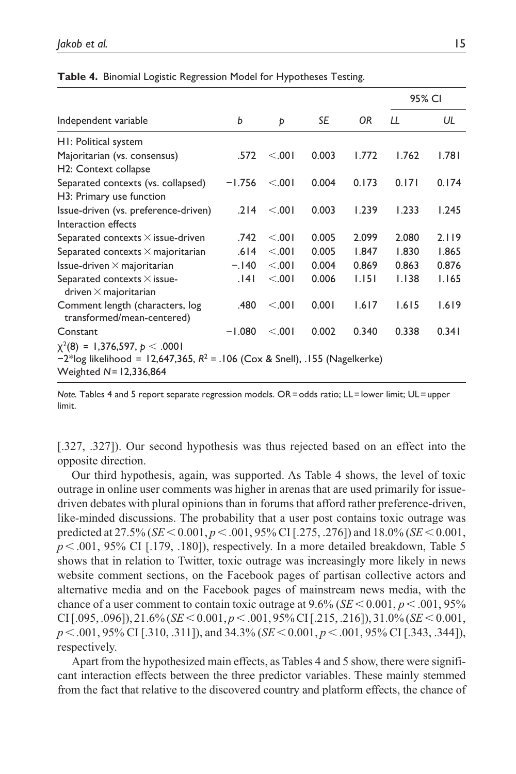|                                                                                                                                                      |          |        |       |       | 95% CI       |       |  |
|------------------------------------------------------------------------------------------------------------------------------------------------------|----------|--------|-------|-------|--------------|-------|--|
| Independent variable                                                                                                                                 | b        | Þ      | SE    | 0R    | $\mathbf{1}$ | UL    |  |
| HI: Political system                                                                                                                                 |          |        |       |       |              |       |  |
| Majoritarian (vs. consensus)                                                                                                                         | .572     | < .001 | 0.003 | 1.772 | 1.762        | 1.781 |  |
| H <sub>2</sub> : Context collapse                                                                                                                    |          |        |       |       |              |       |  |
| Separated contexts (vs. collapsed)                                                                                                                   | $-1.756$ | < 0.01 | 0.004 | 0.173 | 0.171        | 0.174 |  |
| H3: Primary use function                                                                                                                             |          |        |       |       |              |       |  |
| Issue-driven (vs. preference-driven)                                                                                                                 | .214     | < 0.01 | 0.003 | 1.239 | 1.233        | 1.245 |  |
| Interaction effects                                                                                                                                  |          |        |       |       |              |       |  |
| Separated contexts $\times$ issue-driven                                                                                                             | .742     | < 0.01 | 0.005 | 2.099 | 2.080        | 2.119 |  |
| Separated contexts $\times$ majoritarian                                                                                                             | .614     | < 0.01 | 0.005 | 1.847 | 1.830        | 1.865 |  |
| Issue-driven $\times$ majoritarian                                                                                                                   | $-.140$  | < 0.01 | 0.004 | 0.869 | 0.863        | 0.876 |  |
| Separated contexts $\times$ issue-<br>driven $\times$ majoritarian                                                                                   | .141     | < 0.01 | 0.006 | 1.151 | 1.138        | 1.165 |  |
| Comment length (characters, log<br>transformed/mean-centered)                                                                                        | .480     | < 0.01 | 0.001 | 1.617 | 1.615        | 1.619 |  |
| Constant                                                                                                                                             | $-1.080$ | < .001 | 0.002 | 0.340 | 0.338        | 0.341 |  |
| $\chi^2(8) = 1,376,597, p < .0001$<br>$-2^*$ log likelihood = 12,647,365, $R^2$ = .106 (Cox & Snell), .155 (Nagelkerke)<br>Weighted $N = 12,336,864$ |          |        |       |       |              |       |  |

**Table 4.** Binomial Logistic Regression Model for Hypotheses Testing.

*Note.* Tables 4 and 5 report separate regression models. OR=odds ratio; LL=lower limit; UL=upper limit.

[.327, .327]). Our second hypothesis was thus rejected based on an effect into the opposite direction.

Our third hypothesis, again, was supported. As Table 4 shows, the level of toxic outrage in online user comments was higher in arenas that are used primarily for issuedriven debates with plural opinions than in forums that afford rather preference-driven, like-minded discussions. The probability that a user post contains toxic outrage was predicted at 27.5% (*SE*<0.001, *p*<.001, 95% CI [.275, .276]) and 18.0% (*SE*<0.001,  $p<.001$ , 95% CI [.179, .180]), respectively. In a more detailed breakdown, Table 5 shows that in relation to Twitter, toxic outrage was increasingly more likely in news website comment sections, on the Facebook pages of partisan collective actors and alternative media and on the Facebook pages of mainstream news media, with the chance of a user comment to contain toxic outrage at  $9.6\%$  (*SE* < 0.001, *p* < .001, 95% CI [.095, .096]), 21.6% (*SE*<0.001, *p*<.001, 95% CI [.215, .216]), 31.0% (*SE*<0.001, *p*<.001, 95% CI [.310, .311]), and 34.3% (*SE*<0.001, *p*<.001, 95% CI [.343, .344]), respectively.

Apart from the hypothesized main effects, as Tables 4 and 5 show, there were significant interaction effects between the three predictor variables. These mainly stemmed from the fact that relative to the discovered country and platform effects, the chance of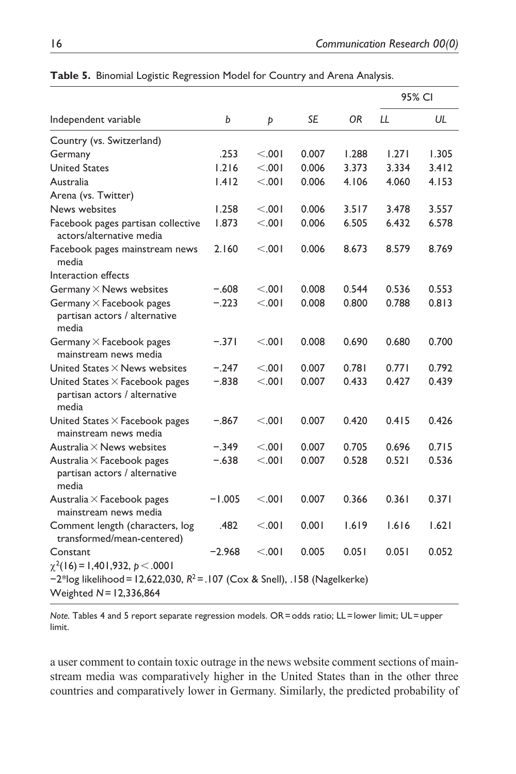|                                                                                                                                                        |          |         |           | OR.   | 95% CI |       |
|--------------------------------------------------------------------------------------------------------------------------------------------------------|----------|---------|-----------|-------|--------|-------|
| Independent variable                                                                                                                                   | b        | Þ       | <b>SE</b> |       | LL     | UL    |
| Country (vs. Switzerland)                                                                                                                              |          |         |           |       |        |       |
| Germany                                                                                                                                                | .253     | < 0.001 | 0.007     | 1.288 | 1.271  | 1.305 |
| <b>United States</b>                                                                                                                                   | 1.216    | < 0.001 | 0.006     | 3.373 | 3.334  | 3.412 |
| Australia                                                                                                                                              | 1.412    | < 0.001 | 0.006     | 4.106 | 4.060  | 4.153 |
| Arena (vs. Twitter)                                                                                                                                    |          |         |           |       |        |       |
| News websites                                                                                                                                          | 1.258    | < 0.001 | 0.006     | 3.517 | 3.478  | 3.557 |
| Facebook pages partisan collective<br>actors/alternative media                                                                                         | 1.873    | < 0.001 | 0.006     | 6.505 | 6.432  | 6.578 |
| Facebook pages mainstream news<br>media                                                                                                                | 2.160    | < 0.001 | 0.006     | 8.673 | 8.579  | 8.769 |
| Interaction effects                                                                                                                                    |          |         |           |       |        |       |
| Germany $\times$ News websites                                                                                                                         | $-.608$  | < 0.01  | 0.008     | 0.544 | 0.536  | 0.553 |
| Germany $\times$ Facebook pages<br>partisan actors / alternative<br>media                                                                              | $-.223$  | < 0.001 | 0.008     | 0.800 | 0.788  | 0.813 |
| Germany $\times$ Facebook pages<br>mainstream news media                                                                                               | $-.371$  | < 0.001 | 0.008     | 0.690 | 0.680  | 0.700 |
| United States $\times$ News websites                                                                                                                   | $-.247$  | < 0.001 | 0.007     | 0.781 | 0.771  | 0.792 |
| United States $\times$ Facebook pages<br>partisan actors / alternative<br>media                                                                        | $-.838$  | < .001  | 0.007     | 0.433 | 0.427  | 0.439 |
| United States $\times$ Facebook pages<br>mainstream news media                                                                                         | $-.867$  | < 0.01  | 0.007     | 0.420 | 0.415  | 0.426 |
| Australia $\times$ News websites                                                                                                                       | $-.349$  | < 0.001 | 0.007     | 0.705 | 0.696  | 0.715 |
| Australia $\times$ Facebook pages<br>partisan actors / alternative<br>media                                                                            | $-.638$  | < .001  | 0.007     | 0.528 | 0.521  | 0.536 |
| Australia $\times$ Facebook pages<br>mainstream news media                                                                                             | $-1.005$ | < 0.001 | 0.007     | 0.366 | 0.361  | 0.371 |
| Comment length (characters, log<br>transformed/mean-centered)                                                                                          | .482     | < 0.001 | 0.001     | 1.619 | 1.616  | 1.621 |
| Constant                                                                                                                                               | $-2.968$ | < 0.001 | 0.005     | 0.051 | 0.051  | 0.052 |
| $\chi^2(16)$ = 1,401,932, $p < .0001$<br>$-2*$ log likelihood = 12,622,030, $R^2$ = .107 (Cox & Snell), .158 (Nagelkerke)<br>Weighted $N = 12,336,864$ |          |         |           |       |        |       |

**Table 5.** Binomial Logistic Regression Model for Country and Arena Analysis.

*Note.* Tables 4 and 5 report separate regression models. OR=odds ratio; LL=lower limit; UL=upper limit.

a user comment to contain toxic outrage in the news website comment sections of mainstream media was comparatively higher in the United States than in the other three countries and comparatively lower in Germany. Similarly, the predicted probability of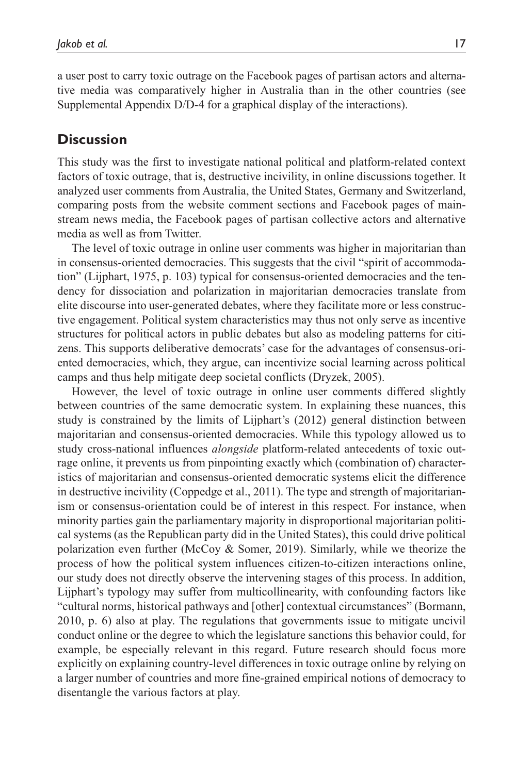a user post to carry toxic outrage on the Facebook pages of partisan actors and alternative media was comparatively higher in Australia than in the other countries (see Supplemental Appendix D/D-4 for a graphical display of the interactions).

## **Discussion**

This study was the first to investigate national political and platform-related context factors of toxic outrage, that is, destructive incivility, in online discussions together. It analyzed user comments from Australia, the United States, Germany and Switzerland, comparing posts from the website comment sections and Facebook pages of mainstream news media, the Facebook pages of partisan collective actors and alternative media as well as from Twitter.

The level of toxic outrage in online user comments was higher in majoritarian than in consensus-oriented democracies. This suggests that the civil "spirit of accommodation" (Lijphart, 1975, p. 103) typical for consensus-oriented democracies and the tendency for dissociation and polarization in majoritarian democracies translate from elite discourse into user-generated debates, where they facilitate more or less constructive engagement. Political system characteristics may thus not only serve as incentive structures for political actors in public debates but also as modeling patterns for citizens. This supports deliberative democrats' case for the advantages of consensus-oriented democracies, which, they argue, can incentivize social learning across political camps and thus help mitigate deep societal conflicts (Dryzek, 2005).

However, the level of toxic outrage in online user comments differed slightly between countries of the same democratic system. In explaining these nuances, this study is constrained by the limits of Lijphart's (2012) general distinction between majoritarian and consensus-oriented democracies. While this typology allowed us to study cross-national influences *alongside* platform-related antecedents of toxic outrage online, it prevents us from pinpointing exactly which (combination of) characteristics of majoritarian and consensus-oriented democratic systems elicit the difference in destructive incivility (Coppedge et al., 2011). The type and strength of majoritarianism or consensus-orientation could be of interest in this respect. For instance, when minority parties gain the parliamentary majority in disproportional majoritarian political systems (as the Republican party did in the United States), this could drive political polarization even further (McCoy & Somer, 2019). Similarly, while we theorize the process of how the political system influences citizen-to-citizen interactions online, our study does not directly observe the intervening stages of this process. In addition, Lijphart's typology may suffer from multicollinearity, with confounding factors like "cultural norms, historical pathways and [other] contextual circumstances" (Bormann, 2010, p. 6) also at play. The regulations that governments issue to mitigate uncivil conduct online or the degree to which the legislature sanctions this behavior could, for example, be especially relevant in this regard. Future research should focus more explicitly on explaining country-level differences in toxic outrage online by relying on a larger number of countries and more fine-grained empirical notions of democracy to disentangle the various factors at play.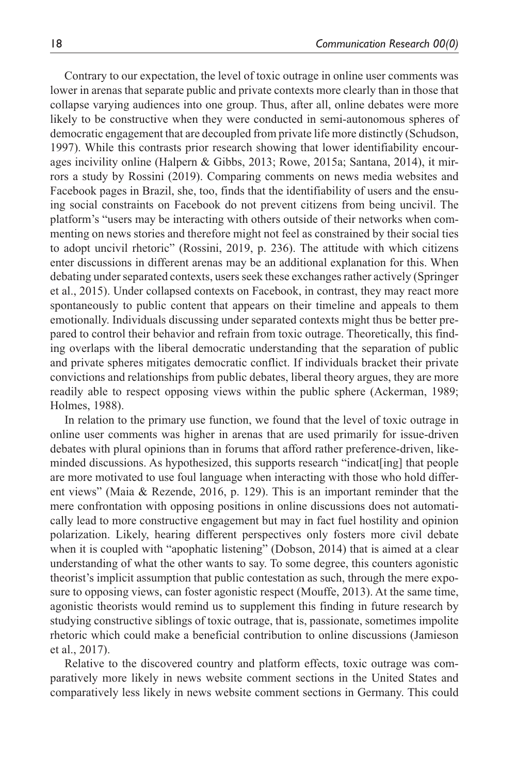Contrary to our expectation, the level of toxic outrage in online user comments was lower in arenas that separate public and private contexts more clearly than in those that collapse varying audiences into one group. Thus, after all, online debates were more likely to be constructive when they were conducted in semi-autonomous spheres of democratic engagement that are decoupled from private life more distinctly (Schudson, 1997). While this contrasts prior research showing that lower identifiability encourages incivility online (Halpern & Gibbs, 2013; Rowe, 2015a; Santana, 2014), it mirrors a study by Rossini (2019). Comparing comments on news media websites and Facebook pages in Brazil, she, too, finds that the identifiability of users and the ensuing social constraints on Facebook do not prevent citizens from being uncivil. The platform's "users may be interacting with others outside of their networks when commenting on news stories and therefore might not feel as constrained by their social ties to adopt uncivil rhetoric" (Rossini, 2019, p. 236). The attitude with which citizens enter discussions in different arenas may be an additional explanation for this. When debating under separated contexts, users seek these exchanges rather actively (Springer et al., 2015). Under collapsed contexts on Facebook, in contrast, they may react more spontaneously to public content that appears on their timeline and appeals to them emotionally. Individuals discussing under separated contexts might thus be better prepared to control their behavior and refrain from toxic outrage. Theoretically, this finding overlaps with the liberal democratic understanding that the separation of public and private spheres mitigates democratic conflict. If individuals bracket their private convictions and relationships from public debates, liberal theory argues, they are more readily able to respect opposing views within the public sphere (Ackerman, 1989; Holmes, 1988).

In relation to the primary use function, we found that the level of toxic outrage in online user comments was higher in arenas that are used primarily for issue-driven debates with plural opinions than in forums that afford rather preference-driven, likeminded discussions. As hypothesized, this supports research "indicat[ing] that people are more motivated to use foul language when interacting with those who hold different views" (Maia & Rezende, 2016, p. 129). This is an important reminder that the mere confrontation with opposing positions in online discussions does not automatically lead to more constructive engagement but may in fact fuel hostility and opinion polarization. Likely, hearing different perspectives only fosters more civil debate when it is coupled with "apophatic listening" (Dobson, 2014) that is aimed at a clear understanding of what the other wants to say. To some degree, this counters agonistic theorist's implicit assumption that public contestation as such, through the mere exposure to opposing views, can foster agonistic respect (Mouffe, 2013). At the same time, agonistic theorists would remind us to supplement this finding in future research by studying constructive siblings of toxic outrage, that is, passionate, sometimes impolite rhetoric which could make a beneficial contribution to online discussions (Jamieson et al., 2017).

Relative to the discovered country and platform effects, toxic outrage was comparatively more likely in news website comment sections in the United States and comparatively less likely in news website comment sections in Germany. This could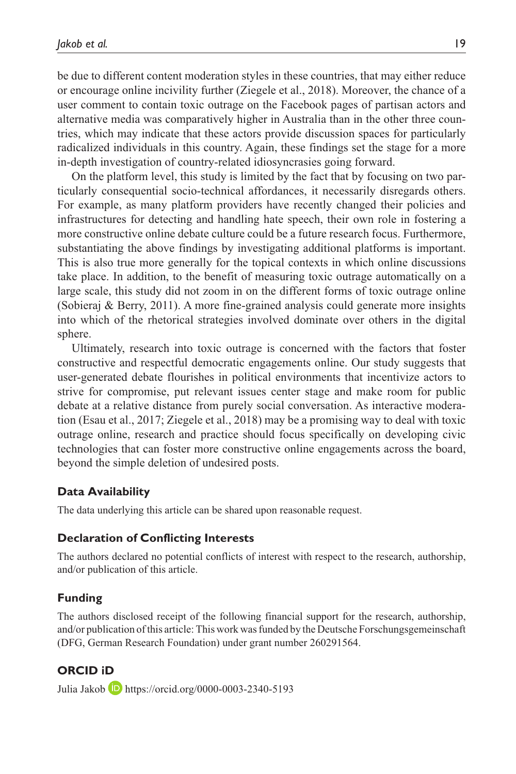be due to different content moderation styles in these countries, that may either reduce or encourage online incivility further (Ziegele et al., 2018). Moreover, the chance of a user comment to contain toxic outrage on the Facebook pages of partisan actors and alternative media was comparatively higher in Australia than in the other three countries, which may indicate that these actors provide discussion spaces for particularly radicalized individuals in this country. Again, these findings set the stage for a more in-depth investigation of country-related idiosyncrasies going forward.

On the platform level, this study is limited by the fact that by focusing on two particularly consequential socio-technical affordances, it necessarily disregards others. For example, as many platform providers have recently changed their policies and infrastructures for detecting and handling hate speech, their own role in fostering a more constructive online debate culture could be a future research focus. Furthermore, substantiating the above findings by investigating additional platforms is important. This is also true more generally for the topical contexts in which online discussions take place. In addition, to the benefit of measuring toxic outrage automatically on a large scale, this study did not zoom in on the different forms of toxic outrage online (Sobieraj & Berry, 2011). A more fine-grained analysis could generate more insights into which of the rhetorical strategies involved dominate over others in the digital sphere.

Ultimately, research into toxic outrage is concerned with the factors that foster constructive and respectful democratic engagements online. Our study suggests that user-generated debate flourishes in political environments that incentivize actors to strive for compromise, put relevant issues center stage and make room for public debate at a relative distance from purely social conversation. As interactive moderation (Esau et al., 2017; Ziegele et al., 2018) may be a promising way to deal with toxic outrage online, research and practice should focus specifically on developing civic technologies that can foster more constructive online engagements across the board, beyond the simple deletion of undesired posts.

### **Data Availability**

The data underlying this article can be shared upon reasonable request.

### **Declaration of Conflicting Interests**

The authors declared no potential conflicts of interest with respect to the research, authorship, and/or publication of this article.

### **Funding**

The authors disclosed receipt of the following financial support for the research, authorship, and/or publication of this article: This work was funded by the Deutsche Forschungsgemeinschaft (DFG, German Research Foundation) under grant number 260291564.

### **ORCID iD**

Julia Jakob **D** <https://orcid.org/0000-0003-2340-5193>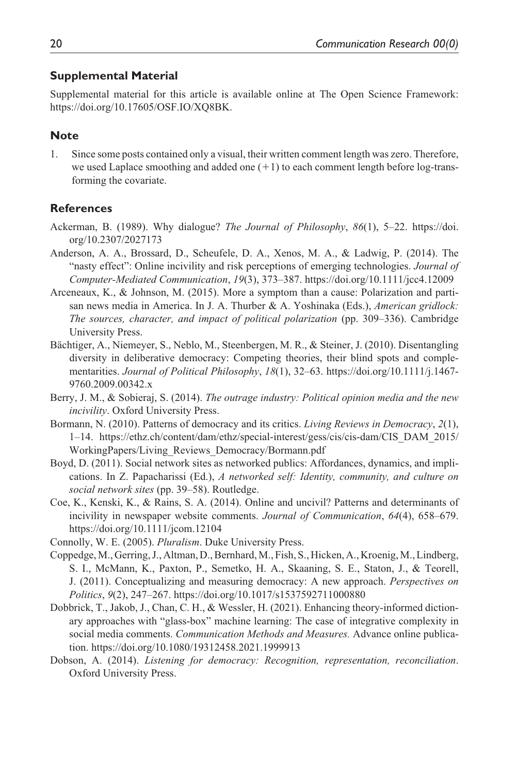### **Supplemental Material**

Supplemental material for this article is available online at The Open Science Framework: https://doi.org/10.17605/OSF.IO/XQ8BK.

### **Note**

1. Since some posts contained only a visual, their written comment length was zero. Therefore, we used Laplace smoothing and added one  $(+1)$  to each comment length before log-transforming the covariate.

### **References**

- Ackerman, B. (1989). Why dialogue? *The Journal of Philosophy*, *86*(1), 5–22. [https://doi.](https://doi.org/10.2307/2027173) [org/10.2307/2027173](https://doi.org/10.2307/2027173)
- Anderson, A. A., Brossard, D., Scheufele, D. A., Xenos, M. A., & Ladwig, P. (2014). The "nasty effect": Online incivility and risk perceptions of emerging technologies. *Journal of Computer-Mediated Communication*, *19*(3), 373–387.<https://doi.org/10.1111/jcc4.12009>
- Arceneaux, K., & Johnson, M. (2015). More a symptom than a cause: Polarization and partisan news media in America. In J. A. Thurber & A. Yoshinaka (Eds.), *American gridlock: The sources, character, and impact of political polarization* (pp. 309–336). Cambridge University Press.
- Bächtiger, A., Niemeyer, S., Neblo, M., Steenbergen, M. R., & Steiner, J. (2010). Disentangling diversity in deliberative democracy: Competing theories, their blind spots and complementarities. *Journal of Political Philosophy*, *18*(1), 32–63. [https://doi.org/10.1111/j.1467-](https://doi.org/10.1111/j.1467-9760.2009.00342.x) [9760.2009.00342.x](https://doi.org/10.1111/j.1467-9760.2009.00342.x)
- Berry, J. M., & Sobieraj, S. (2014). *The outrage industry: Political opinion media and the new incivility*. Oxford University Press.
- Bormann, N. (2010). Patterns of democracy and its critics. *Living Reviews in Democracy*, *2*(1), 1–14. [https://ethz.ch/content/dam/ethz/special-interest/gess/cis/cis-dam/CIS\\_DAM\\_2015/](https://ethz.ch/content/dam/ethz/special-interest/gess/cis/cis-dam/CIS_DAM_2015/WorkingPapers/Living_Reviews_Democracy/Bormann.pdf) [WorkingPapers/Living\\_Reviews\\_Democracy/Bormann.pdf](https://ethz.ch/content/dam/ethz/special-interest/gess/cis/cis-dam/CIS_DAM_2015/WorkingPapers/Living_Reviews_Democracy/Bormann.pdf)
- Boyd, D. (2011). Social network sites as networked publics: Affordances, dynamics, and implications. In Z. Papacharissi (Ed.), *A networked self: Identity, community, and culture on social network sites* (pp. 39–58). Routledge.
- Coe, K., Kenski, K., & Rains, S. A. (2014). Online and uncivil? Patterns and determinants of incivility in newspaper website comments. *Journal of Communication*, *64*(4), 658–679. <https://doi.org/10.1111/jcom.12104>
- Connolly, W. E. (2005). *Pluralism*. Duke University Press.
- Coppedge, M., Gerring, J., Altman, D., Bernhard, M., Fish, S., Hicken, A., Kroenig, M., Lindberg, S. I., McMann, K., Paxton, P., Semetko, H. A., Skaaning, S. E., Staton, J., & Teorell, J. (2011). Conceptualizing and measuring democracy: A new approach. *Perspectives on Politics*, *9*(2), 247–267.<https://doi.org/10.1017/s1537592711000880>
- Dobbrick, T., Jakob, J., Chan, C. H., & Wessler, H. (2021). Enhancing theory-informed dictionary approaches with "glass-box" machine learning: The case of integrative complexity in social media comments. *Communication Methods and Measures.* Advance online publication. <https://doi.org/10.1080/19312458.2021.1999913>
- Dobson, A. (2014). *Listening for democracy: Recognition, representation, reconciliation*. Oxford University Press.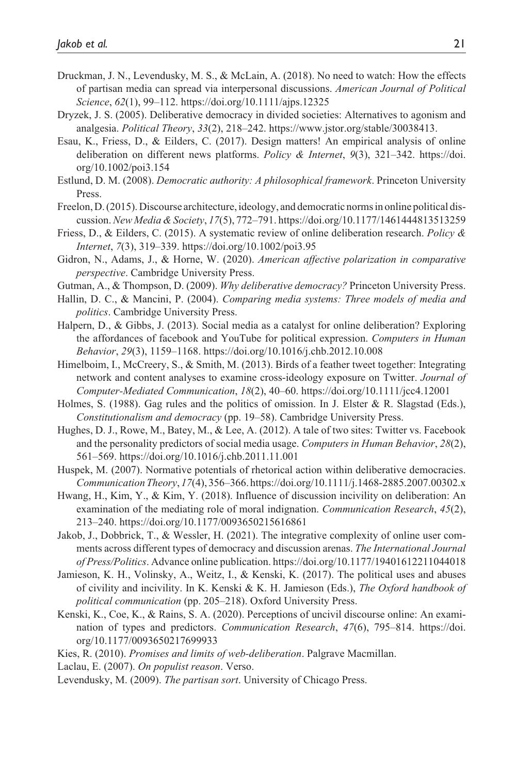- Druckman, J. N., Levendusky, M. S., & McLain, A. (2018). No need to watch: How the effects of partisan media can spread via interpersonal discussions. *American Journal of Political Science*, *62*(1), 99–112.<https://doi.org/10.1111/ajps.12325>
- Dryzek, J. S. (2005). Deliberative democracy in divided societies: Alternatives to agonism and analgesia. *Political Theory*, *33*(2), 218–242.<https://www.jstor.org/stable/30038413>.
- Esau, K., Friess, D., & Eilders, C. (2017). Design matters! An empirical analysis of online deliberation on different news platforms. *Policy & Internet*, *9*(3), 321–342. [https://doi.](https://doi.org/10.1002/poi3.154) [org/10.1002/poi3.154](https://doi.org/10.1002/poi3.154)
- Estlund, D. M. (2008). *Democratic authority: A philosophical framework*. Princeton University Press.
- Freelon, D. (2015). Discourse architecture, ideology, and democratic norms in online political discussion. *New Media & Society*, *17*(5), 772–791.<https://doi.org/10.1177/1461444813513259>
- Friess, D., & Eilders, C. (2015). A systematic review of online deliberation research. *Policy & Internet*, *7*(3), 319–339.<https://doi.org/10.1002/poi3.95>
- Gidron, N., Adams, J., & Horne, W. (2020). *American affective polarization in comparative perspective*. Cambridge University Press.
- Gutman, A., & Thompson, D. (2009). *Why deliberative democracy?* Princeton University Press.
- Hallin, D. C., & Mancini, P. (2004). *Comparing media systems: Three models of media and politics*. Cambridge University Press.
- Halpern, D., & Gibbs, J. (2013). Social media as a catalyst for online deliberation? Exploring the affordances of facebook and YouTube for political expression. *Computers in Human Behavior*, *29*(3), 1159–1168.<https://doi.org/10.1016/j.chb.2012.10.008>
- Himelboim, I., McCreery, S., & Smith, M. (2013). Birds of a feather tweet together: Integrating network and content analyses to examine cross-ideology exposure on Twitter. *Journal of Computer-Mediated Communication*, *18*(2), 40–60.<https://doi.org/10.1111/jcc4.12001>
- Holmes, S. (1988). Gag rules and the politics of omission. In J. Elster & R. Slagstad (Eds.), *Constitutionalism and democracy* (pp. 19–58). Cambridge University Press.
- Hughes, D. J., Rowe, M., Batey, M., & Lee, A. (2012). A tale of two sites: Twitter vs. Facebook and the personality predictors of social media usage. *Computers in Human Behavior*, *28*(2), 561–569.<https://doi.org/10.1016/j.chb.2011.11.001>
- Huspek, M. (2007). Normative potentials of rhetorical action within deliberative democracies. *Communication Theory*, *17*(4), 356–366.<https://doi.org/10.1111/j.1468-2885.2007.00302.x>
- Hwang, H., Kim, Y., & Kim, Y. (2018). Influence of discussion incivility on deliberation: An examination of the mediating role of moral indignation. *Communication Research*, *45*(2), 213–240.<https://doi.org/10.1177/0093650215616861>
- Jakob, J., Dobbrick, T., & Wessler, H. (2021). The integrative complexity of online user comments across different types of democracy and discussion arenas. *The International Journal of Press/Politics*. Advance online publication.<https://doi.org/10.1177/19401612211044018>
- Jamieson, K. H., Volinsky, A., Weitz, I., & Kenski, K. (2017). The political uses and abuses of civility and incivility. In K. Kenski & K. H. Jamieson (Eds.), *The Oxford handbook of political communication* (pp. 205–218). Oxford University Press.
- Kenski, K., Coe, K., & Rains, S. A. (2020). Perceptions of uncivil discourse online: An examination of types and predictors. *Communication Research*, *47*(6), 795–814. [https://doi.](https://doi.org/10.1177/0093650217699933) [org/10.1177/0093650217699933](https://doi.org/10.1177/0093650217699933)
- Kies, R. (2010). *Promises and limits of web-deliberation*. Palgrave Macmillan.
- Laclau, E. (2007). *On populist reason*. Verso.
- Levendusky, M. (2009). *The partisan sort*. University of Chicago Press.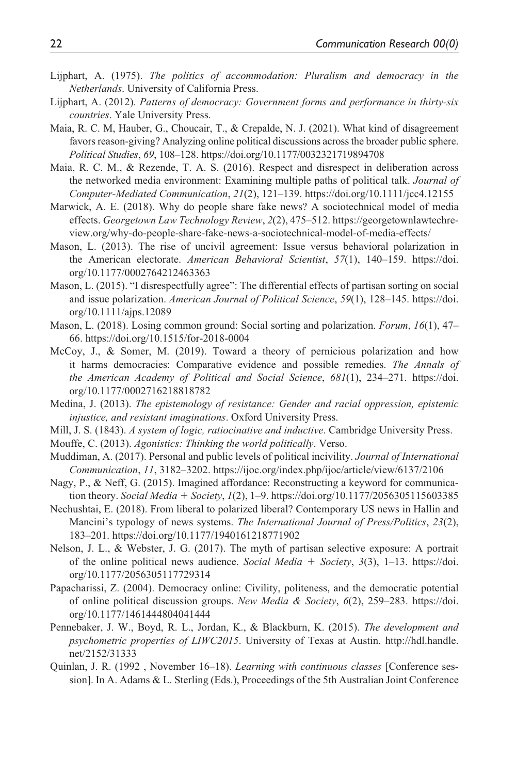- Lijphart, A. (1975). *The politics of accommodation: Pluralism and democracy in the Netherlands*. University of California Press.
- Lijphart, A. (2012). *Patterns of democracy: Government forms and performance in thirty-six countries*. Yale University Press.
- Maia, R. C. M, Hauber, G., Choucair, T., & Crepalde, N. J. (2021). What kind of disagreement favors reason-giving? Analyzing online political discussions across the broader public sphere. *Political Studies*, *69*, 108–128.<https://doi.org/10.1177/0032321719894708>
- Maia, R. C. M., & Rezende, T. A. S. (2016). Respect and disrespect in deliberation across the networked media environment: Examining multiple paths of political talk. *Journal of Computer-Mediated Communication*, *21*(2), 121–139.<https://doi.org/10.1111/jcc4.12155>
- Marwick, A. E. (2018). Why do people share fake news? A sociotechnical model of media effects. *Georgetown Law Technology Review*, *2*(2), 475–512. [https://georgetownlawtechre](https://georgetownlawtechreview.org/why-do-people-share-fake-news-a-sociotechnical-model-of-media-effects/)[view.org/why-do-people-share-fake-news-a-sociotechnical-model-of-media-effects/](https://georgetownlawtechreview.org/why-do-people-share-fake-news-a-sociotechnical-model-of-media-effects/)
- Mason, L. (2013). The rise of uncivil agreement: Issue versus behavioral polarization in the American electorate. *American Behavioral Scientist*, *57*(1), 140–159. [https://doi.](https://doi.org/10.1177/0002764212463363) [org/10.1177/0002764212463363](https://doi.org/10.1177/0002764212463363)
- Mason, L. (2015). "I disrespectfully agree": The differential effects of partisan sorting on social and issue polarization. *American Journal of Political Science*, *59*(1), 128–145. [https://doi.](https://doi.org/10.1111/ajps.12089) [org/10.1111/ajps.12089](https://doi.org/10.1111/ajps.12089)
- Mason, L. (2018). Losing common ground: Social sorting and polarization. *Forum*, *16*(1), 47– 66. <https://doi.org/10.1515/for-2018-0004>
- McCoy, J., & Somer, M. (2019). Toward a theory of pernicious polarization and how it harms democracies: Comparative evidence and possible remedies. *The Annals of the American Academy of Political and Social Science*, *681*(1), 234–271. [https://doi.](https://doi.org/10.1177/0002716218818782) [org/10.1177/0002716218818782](https://doi.org/10.1177/0002716218818782)
- Medina, J. (2013). *The epistemology of resistance: Gender and racial oppression, epistemic injustice, and resistant imaginations*. Oxford University Press.
- Mill, J. S. (1843). *A system of logic, ratiocinative and inductive*. Cambridge University Press.
- Mouffe, C. (2013). *Agonistics: Thinking the world politically*. Verso.
- Muddiman, A. (2017). Personal and public levels of political incivility. *Journal of International Communication*, *11*, 3182–3202. <https://ijoc.org/index.php/ijoc/article/view/6137/2106>
- Nagy, P., & Neff, G. (2015). Imagined affordance: Reconstructing a keyword for communication theory. *Social Media* + *Society*, *1*(2), 1–9.<https://doi.org/10.1177/2056305115603385>
- Nechushtai, E. (2018). From liberal to polarized liberal? Contemporary US news in Hallin and Mancini's typology of news systems. *The International Journal of Press/Politics*, *23*(2), 183–201.<https://doi.org/10.1177/1940161218771902>
- Nelson, J. L., & Webster, J. G. (2017). The myth of partisan selective exposure: A portrait of the online political news audience. *Social Media* + *Society*, *3*(3), 1–13. [https://doi.](https://doi.org/10.1177/2056305117729314) [org/10.1177/2056305117729314](https://doi.org/10.1177/2056305117729314)
- Papacharissi, Z. (2004). Democracy online: Civility, politeness, and the democratic potential of online political discussion groups. *New Media & Society*, *6*(2), 259–283. [https://doi.](https://doi.org/10.1177/1461444804041444) [org/10.1177/1461444804041444](https://doi.org/10.1177/1461444804041444)
- Pennebaker, J. W., Boyd, R. L., Jordan, K., & Blackburn, K. (2015). *The development and psychometric properties of LIWC2015*. University of Texas at Austin. [http://hdl.handle.](http://hdl.handle.net/2152/31333) [net/2152/31333](http://hdl.handle.net/2152/31333)
- Quinlan, J. R. (1992 , November 16–18). *Learning with continuous classes* [Conference session]. In A. Adams & L. Sterling (Eds.), Proceedings of the 5th Australian Joint Conference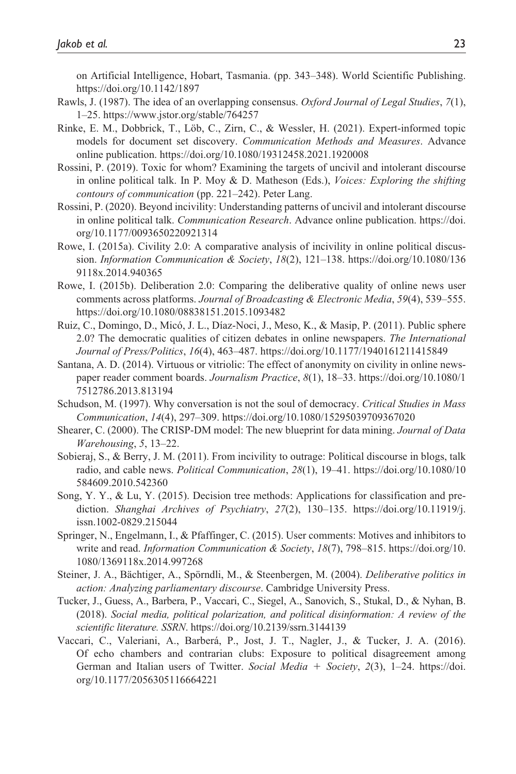on Artificial Intelligence, Hobart, Tasmania. (pp. 343–348). World Scientific Publishing. <https://doi.org/10.1142/1897>

- Rawls, J. (1987). The idea of an overlapping consensus. *Oxford Journal of Legal Studies*, *7*(1), 1–25.<https://www.jstor.org/stable/764257>
- Rinke, E. M., Dobbrick, T., Löb, C., Zirn, C., & Wessler, H. (2021). Expert-informed topic models for document set discovery. *Communication Methods and Measures*. Advance online publication. <https://doi.org/10.1080/19312458.2021.1920008>
- Rossini, P. (2019). Toxic for whom? Examining the targets of uncivil and intolerant discourse in online political talk. In P. Moy & D. Matheson (Eds.), *Voices: Exploring the shifting contours of communication* (pp. 221–242). Peter Lang.
- Rossini, P. (2020). Beyond incivility: Understanding patterns of uncivil and intolerant discourse in online political talk. *Communication Research*. Advance online publication. [https://doi.](https://doi.org/10.1177/0093650220921314) [org/10.1177/0093650220921314](https://doi.org/10.1177/0093650220921314)
- Rowe, I. (2015a). Civility 2.0: A comparative analysis of incivility in online political discussion. *Information Communication & Society*, *18*(2), 121–138. [https://doi.org/10.1080/136](https://doi.org/10.1080/1369118x.2014.940365) [9118x.2014.940365](https://doi.org/10.1080/1369118x.2014.940365)
- Rowe, I. (2015b). Deliberation 2.0: Comparing the deliberative quality of online news user comments across platforms. *Journal of Broadcasting & Electronic Media*, *59*(4), 539–555. <https://doi.org/10.1080/08838151.2015.1093482>
- Ruiz, C., Domingo, D., Micó, J. L., Díaz-Noci, J., Meso, K., & Masip, P. (2011). Public sphere 2.0? The democratic qualities of citizen debates in online newspapers. *The International Journal of Press/Politics*, *16*(4), 463–487. <https://doi.org/10.1177/1940161211415849>
- Santana, A. D. (2014). Virtuous or vitriolic: The effect of anonymity on civility in online newspaper reader comment boards. *Journalism Practice*, *8*(1), 18–33. [https://doi.org/10.1080/1](https://doi.org/10.1080/17512786.2013.813194) [7512786.2013.813194](https://doi.org/10.1080/17512786.2013.813194)
- Schudson, M. (1997). Why conversation is not the soul of democracy. *Critical Studies in Mass Communication*, *14*(4), 297–309. <https://doi.org/10.1080/15295039709367020>
- Shearer, C. (2000). The CRISP-DM model: The new blueprint for data mining. *Journal of Data Warehousing*, *5*, 13–22.
- Sobieraj, S., & Berry, J. M. (2011). From incivility to outrage: Political discourse in blogs, talk radio, and cable news. *Political Communication*, *28*(1), 19–41. [https://doi.org/10.1080/10](https://doi.org/10.1080/10584609.2010.542360) [584609.2010.542360](https://doi.org/10.1080/10584609.2010.542360)
- Song, Y. Y., & Lu, Y. (2015). Decision tree methods: Applications for classification and prediction. *Shanghai Archives of Psychiatry*, *27*(2), 130–135. [https://doi.org/10.11919/j.](https://doi.org/10.11919/j.issn.1002-0829.215044) [issn.1002-0829.215044](https://doi.org/10.11919/j.issn.1002-0829.215044)
- Springer, N., Engelmann, I., & Pfaffinger, C. (2015). User comments: Motives and inhibitors to write and read. *Information Communication & Society*, *18*(7), 798–815. [https://doi.org/10.](https://doi.org/10.1080/1369118x.2014.997268) [1080/1369118x.2014.997268](https://doi.org/10.1080/1369118x.2014.997268)
- Steiner, J. A., Bächtiger, A., Spörndli, M., & Steenbergen, M. (2004). *Deliberative politics in action: Analyzing parliamentary discourse*. Cambridge University Press.
- Tucker, J., Guess, A., Barbera, P., Vaccari, C., Siegel, A., Sanovich, S., Stukal, D., & Nyhan, B. (2018). *Social media, political polarization, and political disinformation: A review of the scientific literature. SSRN*. <https://doi.org/10.2139/ssrn.3144139>
- Vaccari, C., Valeriani, A., Barberá, P., Jost, J. T., Nagler, J., & Tucker, J. A. (2016). Of echo chambers and contrarian clubs: Exposure to political disagreement among German and Italian users of Twitter. *Social Media* + *Society*, *2*(3), 1–24. [https://doi.](https://doi.org/10.1177/2056305116664221) [org/10.1177/2056305116664221](https://doi.org/10.1177/2056305116664221)